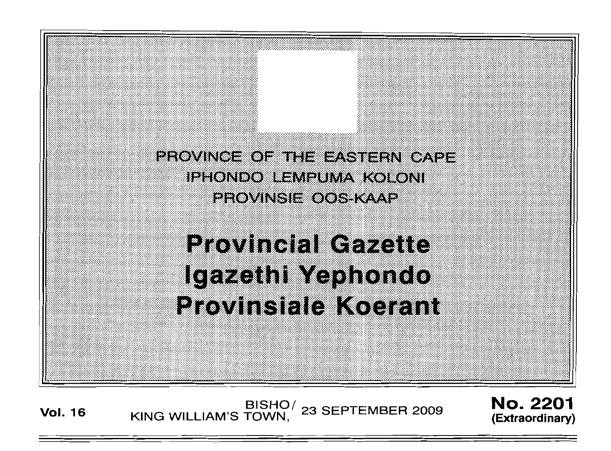PROVINCE OF THE EASTERN CAPE iphondo lempuma koloni EEOVINSIE OOS KAAP **Provincial Gazette** Igazethi Yaphondo Provinsiale Koarant

Vol. 16 KING WILLIAM'S TOWN, 23 SEPTEMBER 2009

No. 2201 **(Extraordinary)**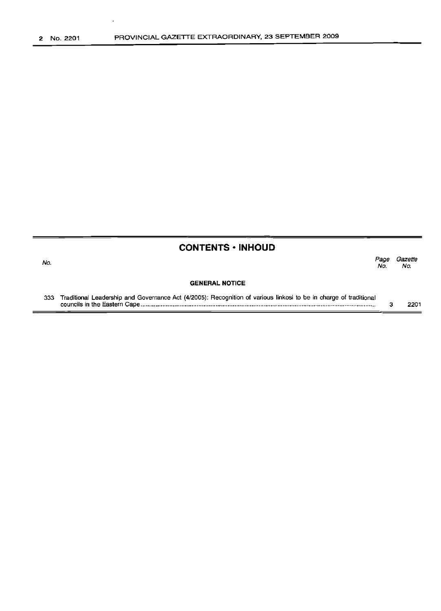No.

### **CONTENTS ·INHOUD**

*Page Gazette* No. No.

#### **GENERAL NOTICE**

333 Traditional Leadership and Governance Act (4/2005): Recognition of various linkosi to be in charge of traditional councils in the Eastern Cape . 3 2201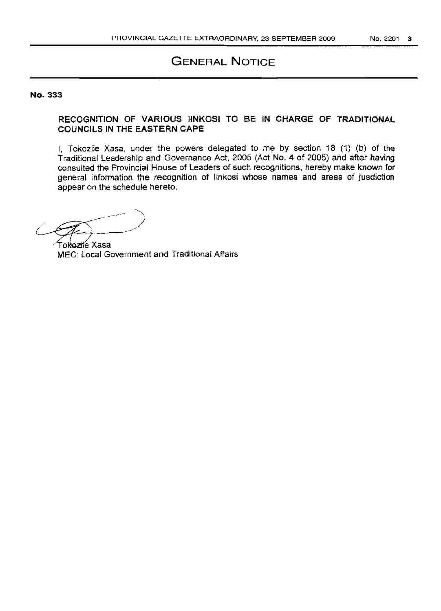# GENERAL NOTICE

#### No. 333

## RECOGNITION OF VARIOUS IINKOSI TO BE IN CHARGE OF TRADITIONAL COUNCILS IN THE EASTERN CAPE

I, Tokozile Xasa, under the powers delegated to me by section 18 (1) (b) of the Traditional Leadership and Governance Act, 2005 (Act NO.4 of 2005) and after having consulted the Provincial House of Leaders of such recognitions, hereby make known for general information the recognition of linkosi whose names and areas of jusdiction appear on the schedule hereto.

- ------ ")  $\sqrt{2}$ -~j------

Tokozile Xasa MEC: Local Government and Traditional Affairs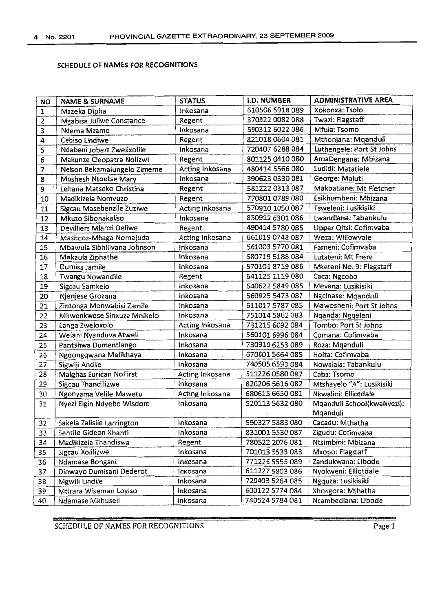## SCHEDULE OF NAMES FOR RECOGNITIONS

| <b>NO</b>      | <b>NAME &amp; SURNAME</b>   | <b>STATUS</b>                      | <b>I.D. NUMBER</b> | <b>ADMINISTRATIVE AREA</b> |
|----------------|-----------------------------|------------------------------------|--------------------|----------------------------|
| 1              | Mazeka Dipha                | Inkosana                           | 610506 5918 089    | Xokonxa: Tsolo             |
| $\overline{2}$ | Mgabisa Juliwe Constance    | Regent                             | 370922 0082 088    | Twazi: Flagstaff           |
| 3              | Ndema Mzamo                 | Inkosana                           | 590312 6022 086    | Mfula: Tsomo               |
| 4              | Cebiso Lindiwe              | Regent                             | 821018 0604 081    | Mthonjana: Mqanduli        |
| 5              | Ndabeni Jobert Zwelixolile  | Inkosana                           | 720407 6288 084    | Luthengele: Port St Johns  |
| 6              | Makunze Cleopatra Nolizwi   | Regent                             | 801125 0410 080    | AmaDengana: Mbizana        |
| 7              | Nelson Bekamalungelo Zimeme | Acting Inkosana                    | 480414 5566 080    | Ludidi: Matatiele          |
| 8              | Moshesh Ntoetse Mary        | Inkosana                           | 390623 0330 081    | George: Maluti             |
| 9              | Lehana Matseko Christina    | Regent                             | 581222 0313 087    | Makoatlane: Mt Fletcher    |
| 10             | Madikizela Nomvuzo          | Regent                             | 770801 0789 080    | Esikhumbeni: Mbizana       |
| 11             | Sigcau Masebenzile Zuziwe   | Acting Inkosana                    | 570910 1050 087    | Tsweleni: Lusikisiki       |
| 12             | Mkuzo Sibonakaliso          | Inkosana                           | 850912 6301 086    | Lwandlana: Tabankulu       |
| 13             | Devilliers Mlamli Deliwe    | Regent                             | 490414 5780 085    | Upper Qitsi: Cofimvaba     |
| 14             | Mashece-Mhaga Nomajuda      | Acting Inkosana                    | 661019 0748 087    | Weza: Willowvale           |
| 15             | Mbawula Sibhilivana Johnson | inkosana                           | 561003 5770 081    | Fameni: Cofimvaba          |
| 16             | Makaula Ziphathe            | Inkosana                           | 580719 5188 084    | Lutateni: Mt Frere         |
| 17             | Dumisa Jamile               | Inkosana                           | 5701018719086      | Mketeni No. 9: Flagstaff   |
| 18             | <b>Twangu Nowandile</b>     | Regent                             | 641125 1119 080    | Caca: Ngcobo               |
| 19             | Sigcau Samkelo              | Inkosana                           | 640622 5849 085    | Mevana: Lusikisiki         |
| 20             | Njenjese Grozana            | inkosana                           | 560925 5473 087    | Ngcinase: Mqanduli         |
| 21             | Zintonga Monwabisi Zamile   | inkosana                           | 611017 5787 085    | Mawosheni; Port St Johns   |
| 22             | Mkwenkwese Sinxuza Mnikelo  | Inkosana                           | 751014 5862 083    | Nganda: Nggeleni           |
| 23             | Langa Zweloxolo             | Acting Inkosana                    | 731215 6092 084    | Tombo: Port St Johns       |
| 24             | Welani Nyanduva Atwell      | Inkosana                           | 560101 6996 084    | Comana: Cofimvaba          |
| 25             | Pantshwa Dumentlango        | Inkosana                           | 730910 6253 089    | Roza: Mganduli             |
| 26             | Ngqongqwana Melikhaya       | Inkosana<br>$\ddot{\phantom{a}}$ . | 670601 5664 085    | Hoita: Cofimvaba           |
| 27             | Sigwiji Andile              | Inkosana                           | 740505 6593 084    | Nowalala: Tabankulu        |
| 28             | Malghas Eurican NoFirst     | Acting Inkosana                    | 511226 0580 087    | Caba: Tsomo                |
| 29             | Sigcau Thandilizwe          | Inkosana                           | 820206 5616 082    | Mtshayelo "A": Lusikisiki  |
| 30             | Ngonyama Velile Mawetu      | Acting Inkosana                    | 680615 6650 081    | Nkwalini: Elliotdale       |
| 31             | Nyezi Elgin Ndyebo Wisdom   | Inkosana                           | 520113 5632 080    | Mqanduli School(kwaNyezi): |
|                |                             |                                    |                    | Mqanduli                   |
| 32             | Sakela Zalisile Larrington  | Inkosana                           | 590327 5883 080    | Cacadu: Mthatha            |
| 33             | Sentile Gideon Xhanti       | inkosana                           | 831001 5530 087    | Zigudu: Cofimvaba          |
| 34             | Madikizela Thandiswa        | Regent                             | 780522 2076 081    | Ntsimbini: Mbizana         |
| 35             | Sigcau Xolilizwe            | Inkosana                           | 701013 5533 083    | Mxopo: Flagstaff           |
| 36             | Ndamase Bongani             | Inkosana                           | 771226 5555 089    | Zandukwana: Libode         |
| 37             | Dinwayo Dumisani Dederot    | Inkosana                           | 611227 5803 086    | Nyokweni: Elliotdale       |
| 38             | Mgwili Lindile              | Inkosana                           | 720403 5264 085    | Ngquza: Lusikisiki         |
| 39             | Mtirara Wiseman Loyiso      | Inkosana                           | 600122 5774 084    | Xhongora: Mthatha          |
| 40             | Ndamase Mkhuseli            | Inkosana                           | 740524 5784 081    | Ncambediana: Libode        |

SCHEDULE OF NAMES FOR RECOGNITIONS Page 1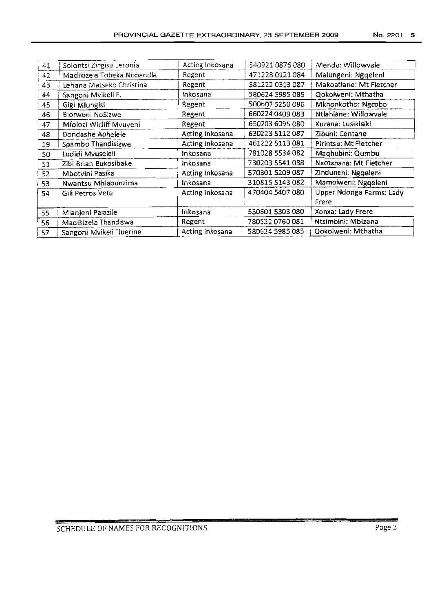| 41 | Solontsi Zingisa Leronia   | Acting Inkosana | 540921 0876 080 | Mendu: Willowvale        |
|----|----------------------------|-----------------|-----------------|--------------------------|
| 42 | Madikizela Tobeka Nobandla | Regent          | 471228 0121 084 | Malungeni: Nggeleni      |
| 43 | Lehana Matseko Christina   | Regent          | 581222 0313 087 | Makoatlane: Mt Fletcher  |
| 44 | Sangoni Mvikeli F.         | inkosana        | 580624 5985 085 | Qokolweni: Mthatha       |
| 45 | Gigi Mlungisi              | Regent          | 500607 5250 086 | Mkhonkotho: Ngcobo       |
| 46 | Blorweni NoSizwe           | Regent          | 660224 0409 083 | Ntlahlane: Willowvale    |
| 47 | Mfolozi Wicliff Mvuyeni    | Regent          | 650203 6095 080 | Xurana: Lusikisiki       |
| 48 | Dondashe Aphelele          | Acting Inkosana | 630223 5112 087 | Zibuni: Centane          |
| 19 | Spambo Thandisizwe         | Acting Inkosana | 461222 5113 081 | Pirintsu: Mt Fletcher    |
| 50 | Ludidi Mvuseleli           | Inkosana        | 781028 5534 082 | Maghubini: Qumbu         |
| 51 | Zibi Brian Bukosibake      | Inkosana        | 730203 5541 088 | Nxotshana: Mt Fletcher   |
| 52 | Mbotyini Pasika            | Acting Inkosana | 570301 5209 087 | Zinduneni: Nggeleni      |
| 53 | Nwantsu Mhlabunzima        | Inkosana        | 310815 5143 082 | Mamolweni: Ngqeleni      |
| 54 | Gili Petros Vete           | Acting Inkosana | 470404 5407 080 | Upper Ndonga Farms: Lady |
|    |                            |                 |                 | Frere                    |
| 55 | Mlanjeni Palazile          | Inkosana        | 530601 5303 080 | Xonxa: Lady Frere        |
| 56 | Madikizela Thandiswa       | Regent          | 780522 0760 081 | Ntsimbini: Mbizana       |
| 57 | Sangoni Mvikeli Fluerine   | Acting Inkosana | 580624 5985 085 | Qokolweni: Mthatha       |